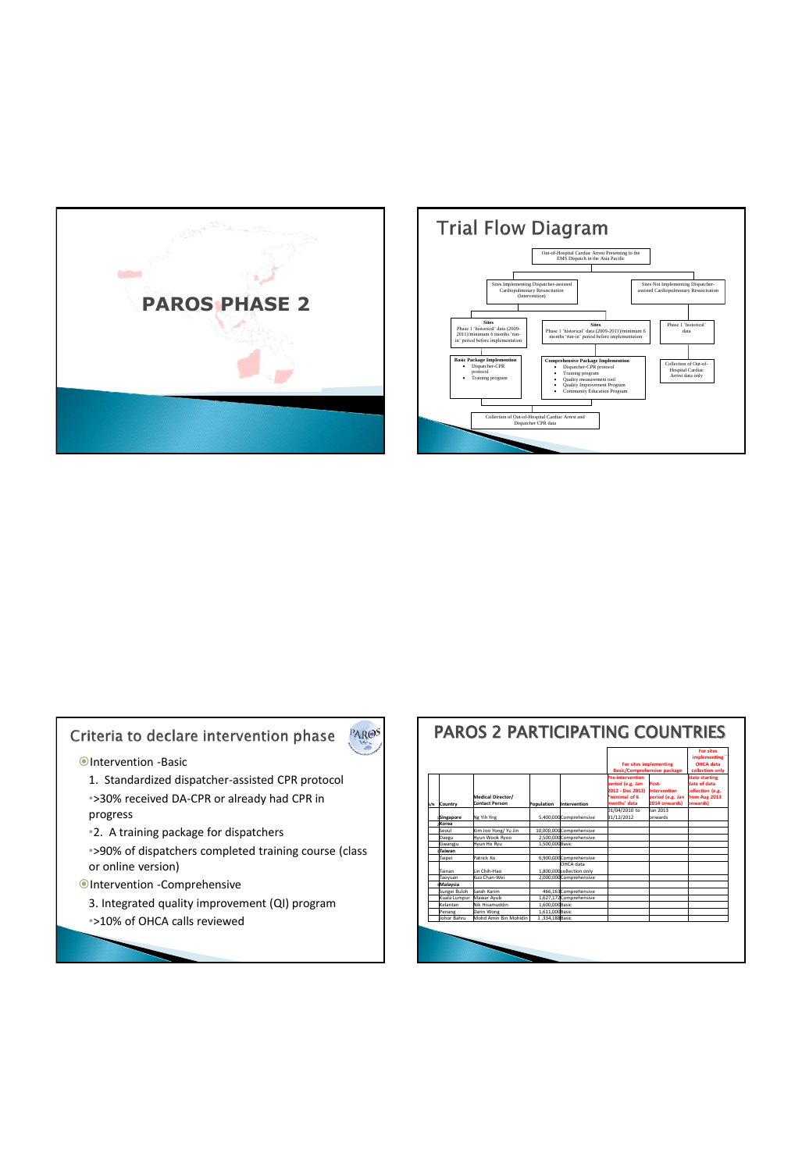



## Criteria to declare intervention phase

PAROS



- 1. Standardized dispatcher-assisted CPR protocol •>30% received DA-CPR or already had CPR in progress
- •2. A training package for dispatchers
- •>90% of dispatchers completed training course (class or online version)
- Intervention -Comprehensive
	- 3. Integrated quality improvement (QI) program •>10% of OHCA calls reviewed

| Country            | Medical Director/<br><b>Contact Person</b>                                 | Population                                                                                                                                                                                              | Intervention | For sites implementing<br><b>Basic/Comprehensive package</b>                                                                                                                                                                                                                                         |                                                                   | <b>For sites</b><br>implementing<br>OHCA data<br>collection only                       |
|--------------------|----------------------------------------------------------------------------|---------------------------------------------------------------------------------------------------------------------------------------------------------------------------------------------------------|--------------|------------------------------------------------------------------------------------------------------------------------------------------------------------------------------------------------------------------------------------------------------------------------------------------------------|-------------------------------------------------------------------|----------------------------------------------------------------------------------------|
|                    |                                                                            |                                                                                                                                                                                                         |              | <b>Pre-intervention</b><br>period (e.g. Jan<br>2012 - Dec 2013)<br><sup>*</sup> minimal of 6<br>months' data                                                                                                                                                                                         | Post-<br><b>Intervention</b><br>period (e.g. Jan<br>2014 onwards) | <b>State starting</b><br>date of data<br>collection (e.g.<br>from Aug 2013<br>onwards) |
|                    |                                                                            |                                                                                                                                                                                                         |              | 01/04/2010 to                                                                                                                                                                                                                                                                                        | Jan 2013                                                          |                                                                                        |
|                    |                                                                            |                                                                                                                                                                                                         |              |                                                                                                                                                                                                                                                                                                      |                                                                   |                                                                                        |
|                    |                                                                            |                                                                                                                                                                                                         |              |                                                                                                                                                                                                                                                                                                      |                                                                   |                                                                                        |
|                    |                                                                            |                                                                                                                                                                                                         |              |                                                                                                                                                                                                                                                                                                      |                                                                   |                                                                                        |
|                    |                                                                            |                                                                                                                                                                                                         |              |                                                                                                                                                                                                                                                                                                      |                                                                   |                                                                                        |
|                    |                                                                            |                                                                                                                                                                                                         |              |                                                                                                                                                                                                                                                                                                      |                                                                   |                                                                                        |
|                    |                                                                            |                                                                                                                                                                                                         |              |                                                                                                                                                                                                                                                                                                      |                                                                   |                                                                                        |
|                    |                                                                            |                                                                                                                                                                                                         |              |                                                                                                                                                                                                                                                                                                      |                                                                   |                                                                                        |
| Tainan             |                                                                            |                                                                                                                                                                                                         |              |                                                                                                                                                                                                                                                                                                      |                                                                   |                                                                                        |
| Taovuan            |                                                                            |                                                                                                                                                                                                         |              |                                                                                                                                                                                                                                                                                                      |                                                                   |                                                                                        |
| Malaysia           |                                                                            |                                                                                                                                                                                                         |              |                                                                                                                                                                                                                                                                                                      |                                                                   |                                                                                        |
| Sungei Buloh       |                                                                            |                                                                                                                                                                                                         |              |                                                                                                                                                                                                                                                                                                      |                                                                   |                                                                                        |
| Kuala Lumpur       |                                                                            |                                                                                                                                                                                                         |              |                                                                                                                                                                                                                                                                                                      |                                                                   |                                                                                        |
| Kelantan           |                                                                            |                                                                                                                                                                                                         |              |                                                                                                                                                                                                                                                                                                      |                                                                   |                                                                                        |
| Penang             |                                                                            |                                                                                                                                                                                                         |              |                                                                                                                                                                                                                                                                                                      |                                                                   |                                                                                        |
| <b>Johor Bahru</b> |                                                                            |                                                                                                                                                                                                         |              |                                                                                                                                                                                                                                                                                                      |                                                                   |                                                                                        |
|                    | Singapore<br><b>Korea</b><br>Seoul<br>Daegu<br>Gwangiu<br>Taiwan<br>Taipei | Ng Yih Yng<br>Kim Joo Yong/ Yu Jin<br>Hyun Wook Ryoo<br>Hyun Ho Ryu<br>Patrick Ko<br>Lin Chih-Hao<br>Kuo Chan-Wei<br>Sarah Karim<br>Mawar Avub<br>Nik Hisamuddin<br>Darin Wong<br>Mohd Amin Rin Mohidin |              | 5.400.000Comprehensive<br>10.000.000Comprehensive<br>2.500.000Comprehensive<br>1.500.000Basic<br>6.900.000Comprehensive<br>OHCA data<br>1.800.000collection only<br>2.000.000Comprehensive<br>466.163 Comprehensive<br>1.627.172 Comprehensive<br>1.600.000Basic<br>1.611.000Basic<br>1.334.188Basic | 31/12/2012                                                        | onwards                                                                                |